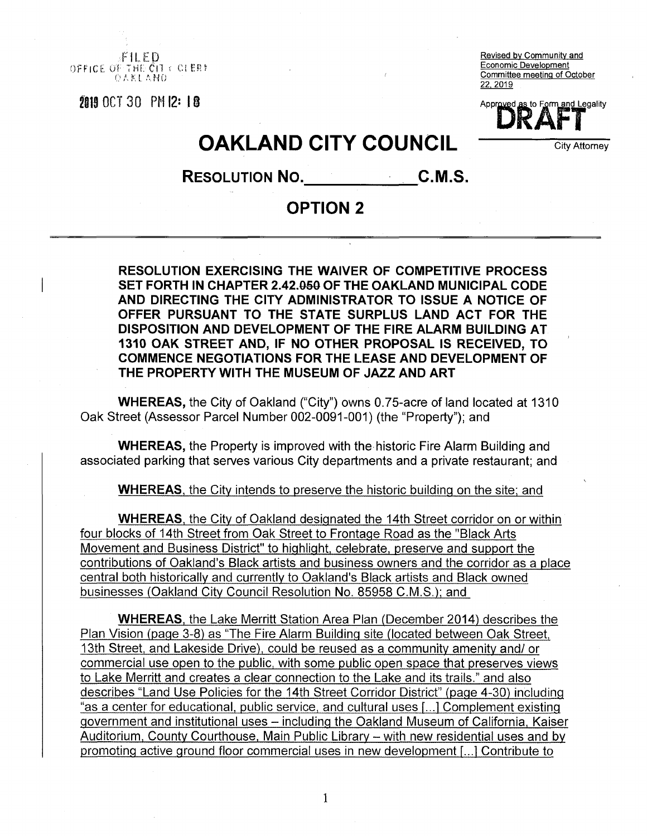f**IL ED** OFFICE OF THE CIT  $\in$  OLERE OaKLA.NO

 $2015$  OCT 30 PM  $12: 18$   $\blacksquare$ 

Revised by Community and Economic Development Committee meeting of October 22. 2019

## **OAKLAND CITY COUNCIL** COUNCIL

**Resolution No. C.M.S.**

## **OPTION 2**

**RESOLUTION EXERCISING THE WAIVER OF COMPETITIVE PROCESS SET FORTH IN CHAPTER 2.42.0§0 OF THE OAKLAND MUNICIPAL CODE AND DIRECTING THE CITY ADMINISTRATOR TO ISSUE A NOTICE OF OFFER PURSUANT TO THE STATE SURPLUS LAND ACT FOR THE DISPOSITION AND DEVELOPMENT OF THE FIRE ALARM BUILDING AT 1310 OAK STREET AND, IF NO OTHER PROPOSAL IS RECEIVED, TO COMMENCE NEGOTIATIONS FOR THE LEASE AND DEVELOPMENT OF THE PROPERTY WITH THE MUSEUM OF JAZZ AND ART**

**WHEREAS,** the City of Oakland ("City") owns 0.75-acre of land located at 1310 Oak Street (Assessor Parcel Number 002-0091-001) (the "Property"); and

**WHEREAS,** the Property is improved with the historic Fire Alarm Building and associated parking that serves various City departments and a private restaurant; and

WHEREAS, the City intends to preserve the historic building on the site; and

WHEREAS, the City of Oakland designated the 14th Street corridor on or within four blocks of 14th Street from Oak Street to Frontage Road as the "Black Arts Movement and Business District" to highlight, celebrate, preserve and support the contributions of Oakland's Black artists and business owners and the corridor as a place central both historically and currently to Oakland's Black artists and Black owned businesses (Oakland City Council Resolution No. 85958 C.M.S.); and

WHEREAS, the Lake Merritt Station Area Plan (December 2014) describes the Plan Vision (page 3-8) as "The Fire Alarm Building site (located between Oak Street, 13th Street, and Lakeside Drive), could be reused as a community amenity and/ or commercial use open to the public, with some public open space that preserves views to Lake Merritt and creates a clear connection to the Lake and its trails." and also describes "Land Use Policies for the 14th Street Corridor District" (page 4-30) including "as a center for educational, public service, and cultural uses [...1 Complement existing government and institutional uses - including the Oakland Museum of California, Kaiser Auditorium, County Courthouse, Main Public Library - with new residential uses and by promoting active ground floor commercial uses in new development f...1 Contribute to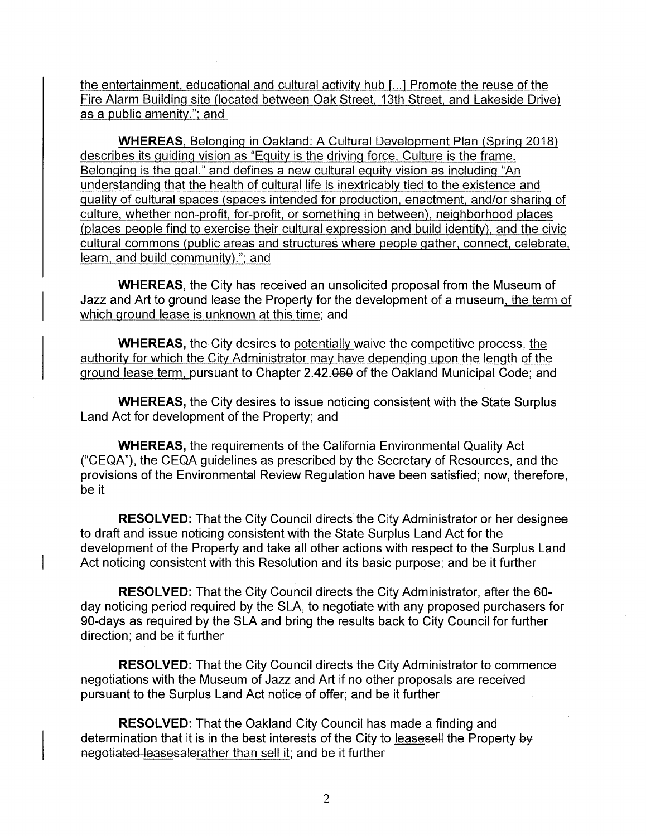the entertainment, educational and cultural activity hub [...1 Promote the reuse of the Fire Alarm Building site (located between Oak Street, 13th Street, and Lakeside Drive) as a public amenity."; and

**WHEREAS.** Belonging in Oakland: A Cultural Development Plan (Spring 2018) describes its guiding vision as "Equity is the driving force. Culture is the frame. Belonging is the goal." and defines a new cultural equity vision as including "An understanding that the health of cultural life is inextricably tied to the existence and quality of cultural spaces (spaces intended for production, enactment, and/or sharing of culture, whether non-profit, for-profit, or something in between), neighborhood places (places people find to exercise their cultural expression and build identity), and the civic cultural commons (public areas and structures where people gather, connect, celebrate, learn, and build community) $:$ ; and

**WHEREAS,** the City has received an unsolicited proposal from the Museum of Jazz and Art to ground lease the Property for the development of a museum, the term of which ground lease is unknown at this time; and

**WHEREAS,** the City desires to potentially waive the competitive process, the authority for which the City Administrator may have depending upon the length of the ground lease term, pursuant to Chapter 2.42.050 of the Oakland Municipal Code; and

**WHEREAS,** the City desires to issue noticing consistent with the State Surplus Land Act for development of the Property; and

**WHEREAS,** the requirements of the California Environmental Quality Act ("CEQA"), the CEQA guidelines as prescribed by the Secretary of Resources, and the provisions of the Environmental Review Regulation have been satisfied; now, therefore, be it

**RESOLVED:** That the City Council directs the City Administrator or her designee to draft and issue noticing consistent with the State Surplus Land Act for the development of the Property and take all other actions with respect to the Surplus Land Act noticing consistent with this Resolution and its basic purpose; and be it further

**RESOLVED:** That the City Council directs the City Administrator, after the 60 day noticing period required by the SLA, to negotiate with any proposed purchasers for 90-days as required by the SLA and bring the results back to City Council for further direction; and be it further

**RESOLVED:** That the City Council directs the City Administrator to commence negotiations with the Museum of Jazz and Art if no other proposals are received pursuant to the Surplus Land Act notice of offer; and be it further

**RESOLVED:** That the Oakland City Council has made a finding and determination that it is in the best interests of the City to leasesell the Property by negotiated leasesalerather than sell it; and be it further